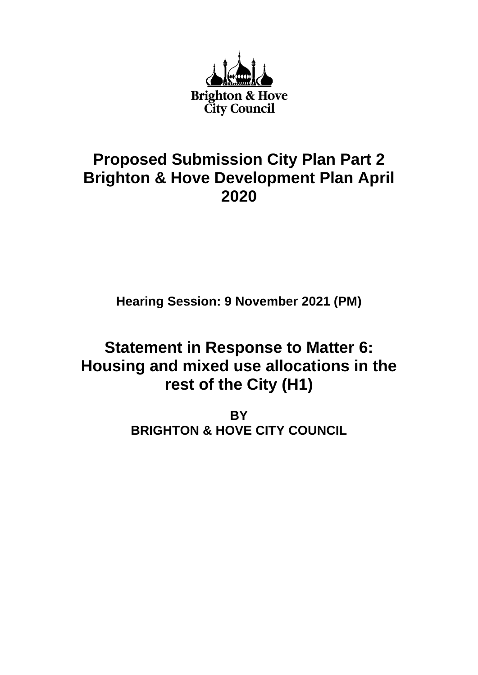

# **Proposed Submission City Plan Part 2 Brighton & Hove Development Plan April 2020**

**Hearing Session: 9 November 2021 (PM)**

# **Statement in Response to Matter 6: Housing and mixed use allocations in the rest of the City (H1)**

**BY BRIGHTON & HOVE CITY COUNCIL**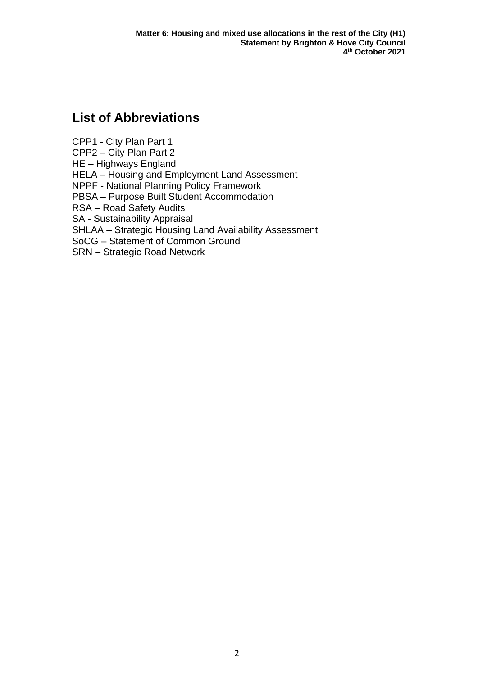## **List of Abbreviations**

CPP1 - City Plan Part 1 CPP2 – City Plan Part 2 HE – Highways England HELA – Housing and Employment Land Assessment NPPF - National Planning Policy Framework PBSA – Purpose Built Student Accommodation RSA – Road Safety Audits SA - Sustainability Appraisal SHLAA – Strategic Housing Land Availability Assessment SoCG – Statement of Common Ground SRN – Strategic Road Network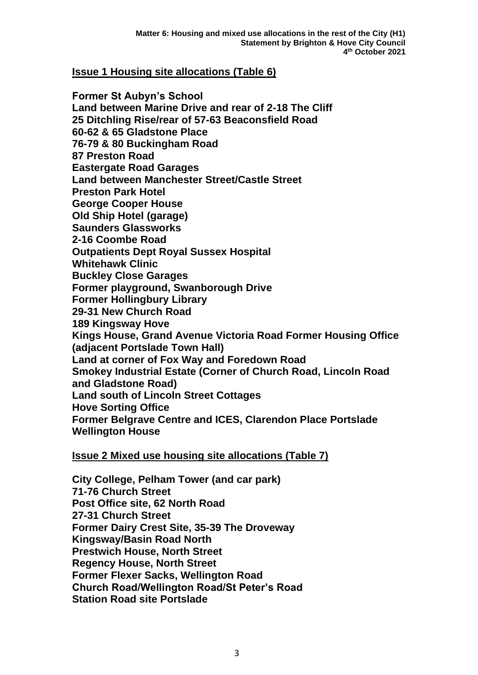#### **Issue 1 Housing site allocations (Table 6)**

**Former St Aubyn's School Land between Marine Drive and rear of 2-18 The Cliff 25 Ditchling Rise/rear of 57-63 Beaconsfield Road 60-62 & 65 Gladstone Place 76-79 & 80 Buckingham Road 87 Preston Road Eastergate Road Garages Land between Manchester Street/Castle Street Preston Park Hotel George Cooper House Old Ship Hotel (garage) Saunders Glassworks 2-16 Coombe Road Outpatients Dept Royal Sussex Hospital Whitehawk Clinic Buckley Close Garages Former playground, Swanborough Drive Former Hollingbury Library 29-31 New Church Road 189 Kingsway Hove Kings House, Grand Avenue Victoria Road Former Housing Office (adjacent Portslade Town Hall) Land at corner of Fox Way and Foredown Road Smokey Industrial Estate (Corner of Church Road, Lincoln Road and Gladstone Road) Land south of Lincoln Street Cottages Hove Sorting Office Former Belgrave Centre and ICES, Clarendon Place Portslade Wellington House**

#### **Issue 2 Mixed use housing site allocations (Table 7)**

**City College, Pelham Tower (and car park) 71-76 Church Street Post Office site, 62 North Road 27-31 Church Street Former Dairy Crest Site, 35-39 The Droveway Kingsway/Basin Road North Prestwich House, North Street Regency House, North Street Former Flexer Sacks, Wellington Road Church Road/Wellington Road/St Peter's Road Station Road site Portslade**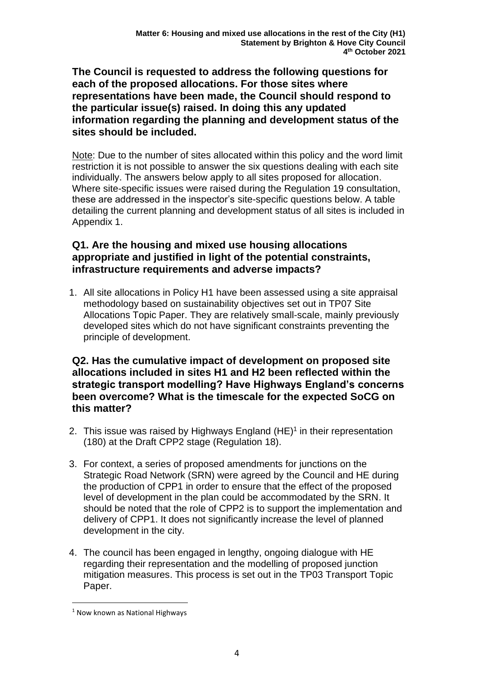**The Council is requested to address the following questions for each of the proposed allocations. For those sites where representations have been made, the Council should respond to the particular issue(s) raised. In doing this any updated information regarding the planning and development status of the sites should be included.**

Note: Due to the number of sites allocated within this policy and the word limit restriction it is not possible to answer the six questions dealing with each site individually. The answers below apply to all sites proposed for allocation. Where site-specific issues were raised during the Regulation 19 consultation, these are addressed in the inspector's site-specific questions below. A table detailing the current planning and development status of all sites is included in Appendix 1.

### **Q1. Are the housing and mixed use housing allocations appropriate and justified in light of the potential constraints, infrastructure requirements and adverse impacts?**

1. All site allocations in Policy H1 have been assessed using a site appraisal methodology based on sustainability objectives set out in TP07 Site Allocations Topic Paper. They are relatively small-scale, mainly previously developed sites which do not have significant constraints preventing the principle of development.

#### **Q2. Has the cumulative impact of development on proposed site allocations included in sites H1 and H2 been reflected within the strategic transport modelling? Have Highways England's concerns been overcome? What is the timescale for the expected SoCG on this matter?**

- 2. This issue was raised by Highways England (HE)<sup>1</sup> in their representation (180) at the Draft CPP2 stage (Regulation 18).
- 3. For context, a series of proposed amendments for junctions on the Strategic Road Network (SRN) were agreed by the Council and HE during the production of CPP1 in order to ensure that the effect of the proposed level of development in the plan could be accommodated by the SRN. It should be noted that the role of CPP2 is to support the implementation and delivery of CPP1. It does not significantly increase the level of planned development in the city.
- 4. The council has been engaged in lengthy, ongoing dialogue with HE regarding their representation and the modelling of proposed junction mitigation measures. This process is set out in the TP03 Transport Topic Paper.

<sup>&</sup>lt;sup>1</sup> Now known as National Highways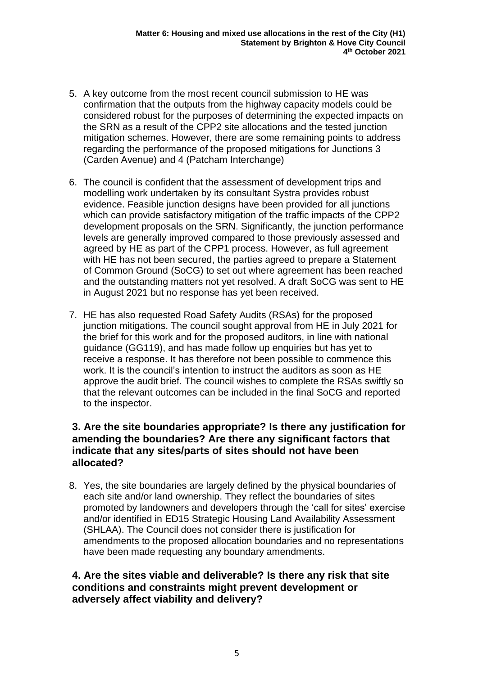- 5. A key outcome from the most recent council submission to HE was confirmation that the outputs from the highway capacity models could be considered robust for the purposes of determining the expected impacts on the SRN as a result of the CPP2 site allocations and the tested junction mitigation schemes. However, there are some remaining points to address regarding the performance of the proposed mitigations for Junctions 3 (Carden Avenue) and 4 (Patcham Interchange)
- 6. The council is confident that the assessment of development trips and modelling work undertaken by its consultant Systra provides robust evidence. Feasible junction designs have been provided for all junctions which can provide satisfactory mitigation of the traffic impacts of the CPP2 development proposals on the SRN. Significantly, the junction performance levels are generally improved compared to those previously assessed and agreed by HE as part of the CPP1 process. However, as full agreement with HE has not been secured, the parties agreed to prepare a Statement of Common Ground (SoCG) to set out where agreement has been reached and the outstanding matters not yet resolved. A draft SoCG was sent to HE in August 2021 but no response has yet been received.
- 7. HE has also requested Road Safety Audits (RSAs) for the proposed junction mitigations. The council sought approval from HE in July 2021 for the brief for this work and for the proposed auditors, in line with national guidance (GG119), and has made follow up enquiries but has yet to receive a response. It has therefore not been possible to commence this work. It is the council's intention to instruct the auditors as soon as HE approve the audit brief. The council wishes to complete the RSAs swiftly so that the relevant outcomes can be included in the final SoCG and reported to the inspector.

### **3. Are the site boundaries appropriate? Is there any justification for amending the boundaries? Are there any significant factors that indicate that any sites/parts of sites should not have been allocated?**

8. Yes, the site boundaries are largely defined by the physical boundaries of each site and/or land ownership. They reflect the boundaries of sites promoted by landowners and developers through the 'call for sites' exercise and/or identified in ED15 Strategic Housing Land Availability Assessment (SHLAA). The Council does not consider there is justification for amendments to the proposed allocation boundaries and no representations have been made requesting any boundary amendments.

#### **4. Are the sites viable and deliverable? Is there any risk that site conditions and constraints might prevent development or adversely affect viability and delivery?**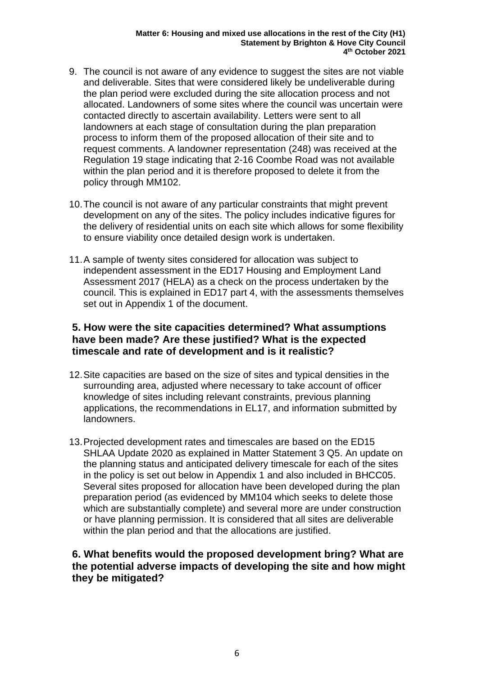- 9. The council is not aware of any evidence to suggest the sites are not viable and deliverable. Sites that were considered likely be undeliverable during the plan period were excluded during the site allocation process and not allocated. Landowners of some sites where the council was uncertain were contacted directly to ascertain availability. Letters were sent to all landowners at each stage of consultation during the plan preparation process to inform them of the proposed allocation of their site and to request comments. A landowner representation (248) was received at the Regulation 19 stage indicating that 2-16 Coombe Road was not available within the plan period and it is therefore proposed to delete it from the policy through MM102.
- 10.The council is not aware of any particular constraints that might prevent development on any of the sites. The policy includes indicative figures for the delivery of residential units on each site which allows for some flexibility to ensure viability once detailed design work is undertaken.
- 11.A sample of twenty sites considered for allocation was subject to independent assessment in the ED17 Housing and Employment Land Assessment 2017 (HELA) as a check on the process undertaken by the council. This is explained in ED17 part 4, with the assessments themselves set out in Appendix 1 of the document.

#### **5. How were the site capacities determined? What assumptions have been made? Are these justified? What is the expected timescale and rate of development and is it realistic?**

- 12.Site capacities are based on the size of sites and typical densities in the surrounding area, adjusted where necessary to take account of officer knowledge of sites including relevant constraints, previous planning applications, the recommendations in EL17, and information submitted by landowners.
- 13.Projected development rates and timescales are based on the ED15 SHLAA Update 2020 as explained in Matter Statement 3 Q5. An update on the planning status and anticipated delivery timescale for each of the sites in the policy is set out below in Appendix 1 and also included in BHCC05. Several sites proposed for allocation have been developed during the plan preparation period (as evidenced by MM104 which seeks to delete those which are substantially complete) and several more are under construction or have planning permission. It is considered that all sites are deliverable within the plan period and that the allocations are justified.

#### **6. What benefits would the proposed development bring? What are the potential adverse impacts of developing the site and how might they be mitigated?**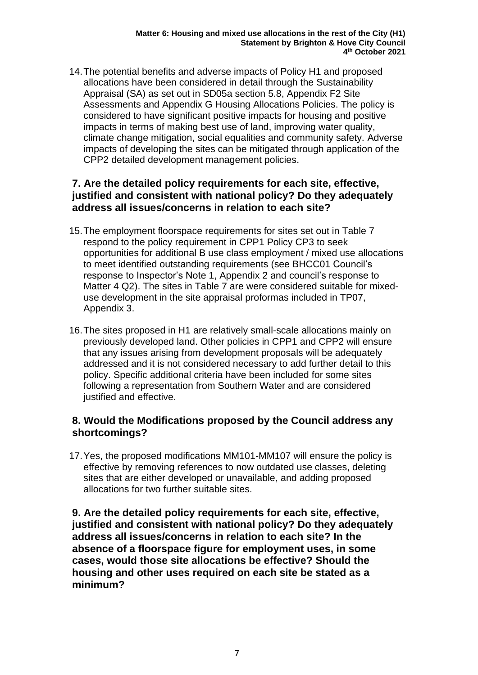14.The potential benefits and adverse impacts of Policy H1 and proposed allocations have been considered in detail through the Sustainability Appraisal (SA) as set out in SD05a section 5.8, Appendix F2 Site Assessments and Appendix G Housing Allocations Policies. The policy is considered to have significant positive impacts for housing and positive impacts in terms of making best use of land, improving water quality, climate change mitigation, social equalities and community safety. Adverse impacts of developing the sites can be mitigated through application of the CPP2 detailed development management policies.

#### **7. Are the detailed policy requirements for each site, effective, justified and consistent with national policy? Do they adequately address all issues/concerns in relation to each site?**

- 15.The employment floorspace requirements for sites set out in Table 7 respond to the policy requirement in CPP1 Policy CP3 to seek opportunities for additional B use class employment / mixed use allocations to meet identified outstanding requirements (see BHCC01 Council's response to Inspector's Note 1, Appendix 2 and council's response to Matter 4 Q2). The sites in Table 7 are were considered suitable for mixeduse development in the site appraisal proformas included in TP07, Appendix 3.
- 16.The sites proposed in H1 are relatively small-scale allocations mainly on previously developed land. Other policies in CPP1 and CPP2 will ensure that any issues arising from development proposals will be adequately addressed and it is not considered necessary to add further detail to this policy. Specific additional criteria have been included for some sites following a representation from Southern Water and are considered justified and effective.

### **8. Would the Modifications proposed by the Council address any shortcomings?**

17.Yes, the proposed modifications MM101-MM107 will ensure the policy is effective by removing references to now outdated use classes, deleting sites that are either developed or unavailable, and adding proposed allocations for two further suitable sites.

**9. Are the detailed policy requirements for each site, effective, justified and consistent with national policy? Do they adequately address all issues/concerns in relation to each site? In the absence of a floorspace figure for employment uses, in some cases, would those site allocations be effective? Should the housing and other uses required on each site be stated as a minimum?**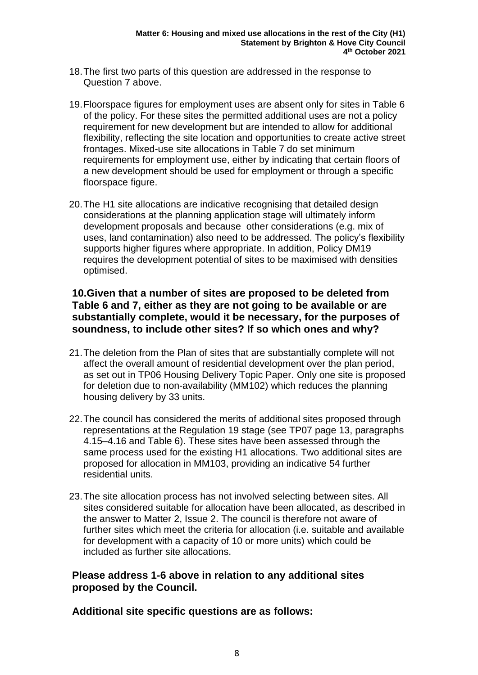- 18.The first two parts of this question are addressed in the response to Question 7 above.
- 19.Floorspace figures for employment uses are absent only for sites in Table 6 of the policy. For these sites the permitted additional uses are not a policy requirement for new development but are intended to allow for additional flexibility, reflecting the site location and opportunities to create active street frontages. Mixed-use site allocations in Table 7 do set minimum requirements for employment use, either by indicating that certain floors of a new development should be used for employment or through a specific floorspace figure.
- 20.The H1 site allocations are indicative recognising that detailed design considerations at the planning application stage will ultimately inform development proposals and because other considerations (e.g. mix of uses, land contamination) also need to be addressed. The policy's flexibility supports higher figures where appropriate. In addition, Policy DM19 requires the development potential of sites to be maximised with densities optimised.

#### **10.Given that a number of sites are proposed to be deleted from Table 6 and 7, either as they are not going to be available or are substantially complete, would it be necessary, for the purposes of soundness, to include other sites? If so which ones and why?**

- 21.The deletion from the Plan of sites that are substantially complete will not affect the overall amount of residential development over the plan period, as set out in TP06 Housing Delivery Topic Paper. Only one site is proposed for deletion due to non-availability (MM102) which reduces the planning housing delivery by 33 units.
- 22.The council has considered the merits of additional sites proposed through representations at the Regulation 19 stage (see TP07 page 13, paragraphs 4.15–4.16 and Table 6). These sites have been assessed through the same process used for the existing H1 allocations. Two additional sites are proposed for allocation in MM103, providing an indicative 54 further residential units.
- 23.The site allocation process has not involved selecting between sites. All sites considered suitable for allocation have been allocated, as described in the answer to Matter 2, Issue 2. The council is therefore not aware of further sites which meet the criteria for allocation (i.e. suitable and available for development with a capacity of 10 or more units) which could be included as further site allocations.

#### **Please address 1-6 above in relation to any additional sites proposed by the Council.**

**Additional site specific questions are as follows:**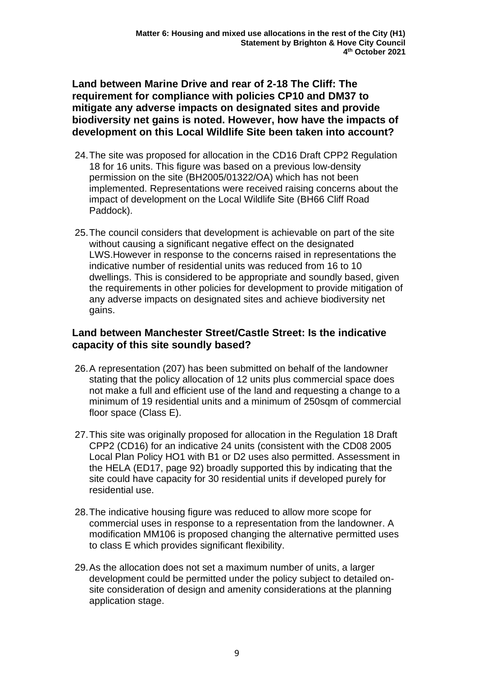**Land between Marine Drive and rear of 2-18 The Cliff: The requirement for compliance with policies CP10 and DM37 to mitigate any adverse impacts on designated sites and provide biodiversity net gains is noted. However, how have the impacts of development on this Local Wildlife Site been taken into account?**

- 24.The site was proposed for allocation in the CD16 Draft CPP2 Regulation 18 for 16 units. This figure was based on a previous low-density permission on the site (BH2005/01322/OA) which has not been implemented. Representations were received raising concerns about the impact of development on the Local Wildlife Site (BH66 Cliff Road Paddock).
- 25.The council considers that development is achievable on part of the site without causing a significant negative effect on the designated LWS.However in response to the concerns raised in representations the indicative number of residential units was reduced from 16 to 10 dwellings. This is considered to be appropriate and soundly based, given the requirements in other policies for development to provide mitigation of any adverse impacts on designated sites and achieve biodiversity net gains.

### **Land between Manchester Street/Castle Street: Is the indicative capacity of this site soundly based?**

- 26.A representation (207) has been submitted on behalf of the landowner stating that the policy allocation of 12 units plus commercial space does not make a full and efficient use of the land and requesting a change to a minimum of 19 residential units and a minimum of 250sqm of commercial floor space (Class E).
- 27.This site was originally proposed for allocation in the Regulation 18 Draft CPP2 (CD16) for an indicative 24 units (consistent with the CD08 2005 Local Plan Policy HO1 with B1 or D2 uses also permitted. Assessment in the HELA (ED17, page 92) broadly supported this by indicating that the site could have capacity for 30 residential units if developed purely for residential use.
- 28.The indicative housing figure was reduced to allow more scope for commercial uses in response to a representation from the landowner. A modification MM106 is proposed changing the alternative permitted uses to class E which provides significant flexibility.
- 29.As the allocation does not set a maximum number of units, a larger development could be permitted under the policy subject to detailed onsite consideration of design and amenity considerations at the planning application stage.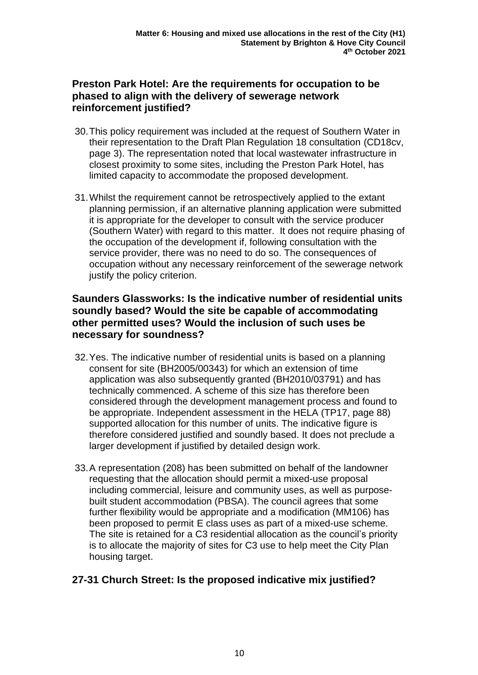#### **Preston Park Hotel: Are the requirements for occupation to be phased to align with the delivery of sewerage network reinforcement justified?**

- 30.This policy requirement was included at the request of Southern Water in their representation to the Draft Plan Regulation 18 consultation (CD18cv, page 3). The representation noted that local wastewater infrastructure in closest proximity to some sites, including the Preston Park Hotel, has limited capacity to accommodate the proposed development.
- 31.Whilst the requirement cannot be retrospectively applied to the extant planning permission, if an alternative planning application were submitted it is appropriate for the developer to consult with the service producer (Southern Water) with regard to this matter. It does not require phasing of the occupation of the development if, following consultation with the service provider, there was no need to do so. The consequences of occupation without any necessary reinforcement of the sewerage network justify the policy criterion.

#### **Saunders Glassworks: Is the indicative number of residential units soundly based? Would the site be capable of accommodating other permitted uses? Would the inclusion of such uses be necessary for soundness?**

- 32.Yes. The indicative number of residential units is based on a planning consent for site (BH2005/00343) for which an extension of time application was also subsequently granted (BH2010/03791) and has technically commenced. A scheme of this size has therefore been considered through the development management process and found to be appropriate. Independent assessment in the HELA (TP17, page 88) supported allocation for this number of units. The indicative figure is therefore considered justified and soundly based. It does not preclude a larger development if justified by detailed design work.
- 33.A representation (208) has been submitted on behalf of the landowner requesting that the allocation should permit a mixed-use proposal including commercial, leisure and community uses, as well as purposebuilt student accommodation (PBSA). The council agrees that some further flexibility would be appropriate and a modification (MM106) has been proposed to permit E class uses as part of a mixed-use scheme. The site is retained for a C3 residential allocation as the council's priority is to allocate the majority of sites for C3 use to help meet the City Plan housing target.

### **27-31 Church Street: Is the proposed indicative mix justified?**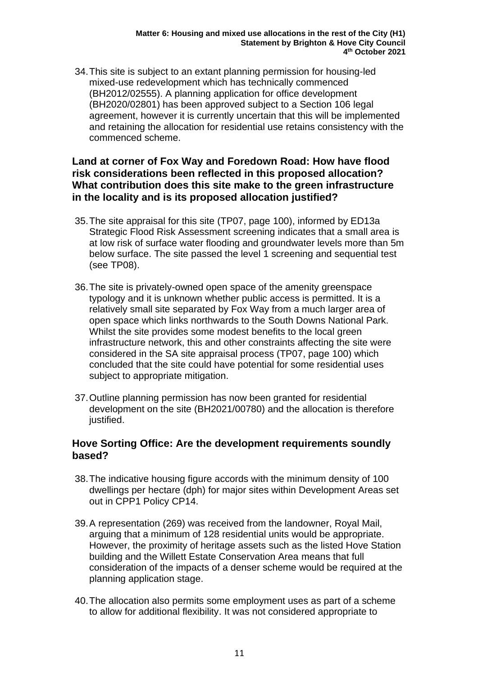34.This site is subject to an extant planning permission for housing-led mixed-use redevelopment which has technically commenced (BH2012/02555). A planning application for office development (BH2020/02801) has been approved subject to a Section 106 legal agreement, however it is currently uncertain that this will be implemented and retaining the allocation for residential use retains consistency with the commenced scheme.

#### **Land at corner of Fox Way and Foredown Road: How have flood risk considerations been reflected in this proposed allocation? What contribution does this site make to the green infrastructure in the locality and is its proposed allocation justified?**

- 35.The site appraisal for this site (TP07, page 100), informed by ED13a Strategic Flood Risk Assessment screening indicates that a small area is at low risk of surface water flooding and groundwater levels more than 5m below surface. The site passed the level 1 screening and sequential test (see TP08).
- 36.The site is privately-owned open space of the amenity greenspace typology and it is unknown whether public access is permitted. It is a relatively small site separated by Fox Way from a much larger area of open space which links northwards to the South Downs National Park. Whilst the site provides some modest benefits to the local green infrastructure network, this and other constraints affecting the site were considered in the SA site appraisal process (TP07, page 100) which concluded that the site could have potential for some residential uses subject to appropriate mitigation.
- 37.Outline planning permission has now been granted for residential development on the site (BH2021/00780) and the allocation is therefore justified.

#### **Hove Sorting Office: Are the development requirements soundly based?**

- 38.The indicative housing figure accords with the minimum density of 100 dwellings per hectare (dph) for major sites within Development Areas set out in CPP1 Policy CP14.
- 39.A representation (269) was received from the landowner, Royal Mail, arguing that a minimum of 128 residential units would be appropriate. However, the proximity of heritage assets such as the listed Hove Station building and the Willett Estate Conservation Area means that full consideration of the impacts of a denser scheme would be required at the planning application stage.
- 40.The allocation also permits some employment uses as part of a scheme to allow for additional flexibility. It was not considered appropriate to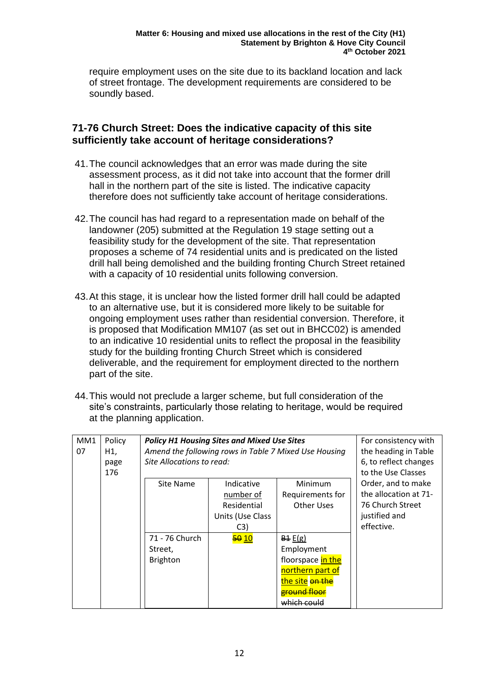require employment uses on the site due to its backland location and lack of street frontage. The development requirements are considered to be soundly based.

#### **71-76 Church Street: Does the indicative capacity of this site sufficiently take account of heritage considerations?**

- 41.The council acknowledges that an error was made during the site assessment process, as it did not take into account that the former drill hall in the northern part of the site is listed. The indicative capacity therefore does not sufficiently take account of heritage considerations.
- 42.The council has had regard to a representation made on behalf of the landowner (205) submitted at the Regulation 19 stage setting out a feasibility study for the development of the site. That representation proposes a scheme of 74 residential units and is predicated on the listed drill hall being demolished and the building fronting Church Street retained with a capacity of 10 residential units following conversion.
- 43.At this stage, it is unclear how the listed former drill hall could be adapted to an alternative use, but it is considered more likely to be suitable for ongoing employment uses rather than residential conversion. Therefore, it is proposed that Modification MM107 (as set out in BHCC02) is amended to an indicative 10 residential units to reflect the proposal in the feasibility study for the building fronting Church Street which is considered deliverable, and the requirement for employment directed to the northern part of the site.
- 44.This would not preclude a larger scheme, but full consideration of the site's constraints, particularly those relating to heritage, would be required at the planning application.

| MM <sub>1</sub><br>07 | Policy<br>H1,<br>page<br>176 | <b>Policy H1 Housing Sites and Mixed Use Sites</b><br>Amend the following rows in Table 7 Mixed Use Housing<br>Site Allocations to read: |                                                                   |                                                                                                                  | For consistency with<br>the heading in Table<br>6, to reflect changes<br>to the Use Classes    |
|-----------------------|------------------------------|------------------------------------------------------------------------------------------------------------------------------------------|-------------------------------------------------------------------|------------------------------------------------------------------------------------------------------------------|------------------------------------------------------------------------------------------------|
|                       |                              | Site Name                                                                                                                                | Indicative<br>number of<br>Residential<br>Units (Use Class<br>C3) | Minimum<br>Requirements for<br><b>Other Uses</b>                                                                 | Order, and to make<br>the allocation at 71-<br>76 Church Street<br>justified and<br>effective. |
|                       |                              | 71 - 76 Church<br>Street,<br><b>Brighton</b>                                                                                             | 50 10                                                             | B1 E(g)<br>Employment<br>floorspace in the<br>northern part of<br>the site on the<br>eround floor<br>which could |                                                                                                |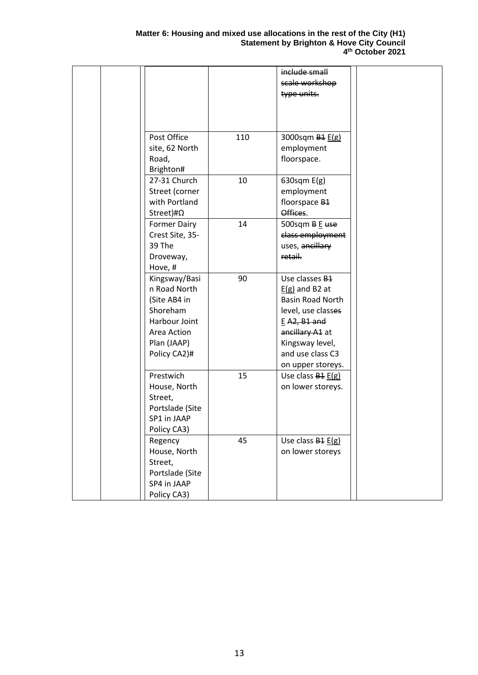|                   |     | include small                 |  |
|-------------------|-----|-------------------------------|--|
|                   |     | scale workshop                |  |
|                   |     | type units.                   |  |
|                   |     |                               |  |
|                   |     |                               |  |
|                   |     |                               |  |
|                   |     |                               |  |
| Post Office       | 110 | 3000sqm B <sub>1</sub> E(g)   |  |
| site, 62 North    |     | employment                    |  |
| Road,             |     | floorspace.                   |  |
| Brighton#         |     |                               |  |
| 27-31 Church      | 10  | 630sqm $E(g)$                 |  |
| Street (corner    |     | employment                    |  |
| with Portland     |     | floorspace B <sub>1</sub>     |  |
| Street)# $\Omega$ |     | Offices.                      |  |
| Former Dairy      | 14  | 500sqm B E use                |  |
| Crest Site, 35-   |     | class employment              |  |
| 39 The            |     | uses, ancillary               |  |
| Droveway,         |     | retail.                       |  |
| Hove, #           |     |                               |  |
| Kingsway/Basi     | 90  | Use classes B <sub>1</sub>    |  |
| n Road North      |     | $E(g)$ and B2 at              |  |
| (Site AB4 in      |     | <b>Basin Road North</b>       |  |
| Shoreham          |     | level, use classes            |  |
| Harbour Joint     |     | $E$ A2, B1 and                |  |
| Area Action       |     | ancillary A1 at               |  |
|                   |     |                               |  |
| Plan (JAAP)       |     | Kingsway level,               |  |
| Policy CA2)#      |     | and use class C3              |  |
|                   |     | on upper storeys.             |  |
| Prestwich         | 15  | Use class $B4 E(g)$           |  |
| House, North      |     | on lower storeys.             |  |
| Street,           |     |                               |  |
| Portslade (Site   |     |                               |  |
| SP1 in JAAP       |     |                               |  |
| Policy CA3)       |     |                               |  |
| Regency           | 45  | Use class B <sub>1</sub> E(g) |  |
| House, North      |     | on lower storeys              |  |
| Street,           |     |                               |  |
| Portslade (Site   |     |                               |  |
| SP4 in JAAP       |     |                               |  |
| Policy CA3)       |     |                               |  |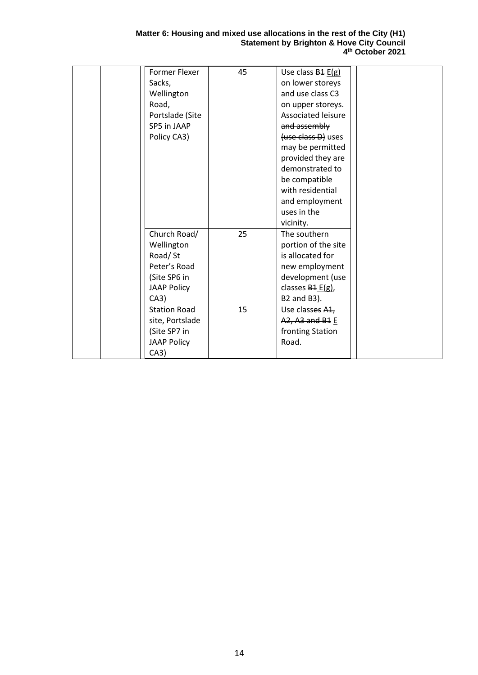#### **Matter 6: Housing and mixed use allocations in the rest of the City (H1) Statement by Brighton & Hove City Council 4 th October 2021**

| Former Flexer       | 45 | Use class $B4 E(g)$  |  |
|---------------------|----|----------------------|--|
|                     |    |                      |  |
| Sacks,              |    | on lower storeys     |  |
| Wellington          |    | and use class C3     |  |
| Road,               |    | on upper storeys.    |  |
| Portslade (Site     |    | Associated leisure   |  |
| SP5 in JAAP         |    | and assembly         |  |
| Policy CA3)         |    | (use class D) uses   |  |
|                     |    | may be permitted     |  |
|                     |    | provided they are    |  |
|                     |    | demonstrated to      |  |
|                     |    | be compatible        |  |
|                     |    | with residential     |  |
|                     |    | and employment       |  |
|                     |    | uses in the          |  |
|                     |    | vicinity.            |  |
| Church Road/        | 25 | The southern         |  |
| Wellington          |    | portion of the site  |  |
| Road/St             |    | is allocated for     |  |
| Peter's Road        |    |                      |  |
|                     |    | new employment       |  |
| (Site SP6 in        |    | development (use     |  |
| <b>JAAP Policy</b>  |    | classes $B_1 E(g)$ , |  |
| CA3)                |    | B2 and B3).          |  |
| <b>Station Road</b> | 15 | Use classes A1,      |  |
| site, Portslade     |    | A2, A3 and B1 E      |  |
| (Site SP7 in        |    | fronting Station     |  |
| <b>JAAP Policy</b>  |    | Road.                |  |
| CA3)                |    |                      |  |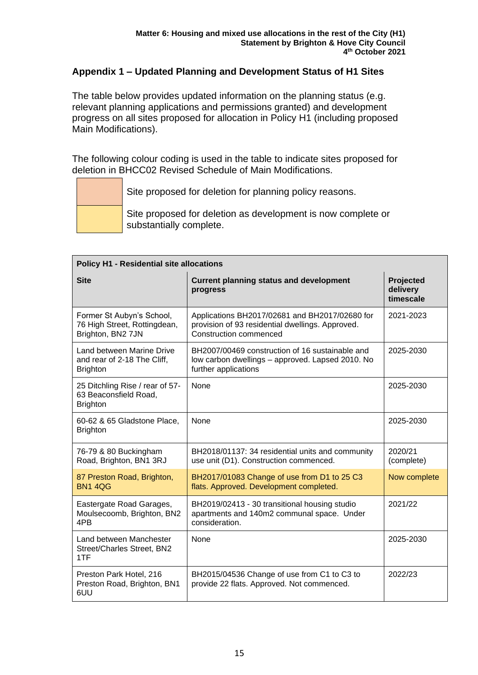#### **Appendix 1 – Updated Planning and Development Status of H1 Sites**

The table below provides updated information on the planning status (e.g. relevant planning applications and permissions granted) and development progress on all sites proposed for allocation in Policy H1 (including proposed Main Modifications).

The following colour coding is used in the table to indicate sites proposed for deletion in BHCC02 Revised Schedule of Main Modifications.

Site proposed for deletion for planning policy reasons.

Site proposed for deletion as development is now complete or substantially complete.

| <b>Policy H1 - Residential site allocations</b>                                |                                                                                                                                     |                                    |  |
|--------------------------------------------------------------------------------|-------------------------------------------------------------------------------------------------------------------------------------|------------------------------------|--|
| <b>Site</b>                                                                    | <b>Current planning status and development</b><br>progress                                                                          | Projected<br>delivery<br>timescale |  |
| Former St Aubyn's School,<br>76 High Street, Rottingdean,<br>Brighton, BN2 7JN | Applications BH2017/02681 and BH2017/02680 for<br>provision of 93 residential dwellings. Approved.<br><b>Construction commenced</b> | 2021-2023                          |  |
| Land between Marine Drive<br>and rear of 2-18 The Cliff,<br><b>Brighton</b>    | BH2007/00469 construction of 16 sustainable and<br>low carbon dwellings - approved. Lapsed 2010. No<br>further applications         | 2025-2030                          |  |
| 25 Ditchling Rise / rear of 57-<br>63 Beaconsfield Road,<br><b>Brighton</b>    | None                                                                                                                                | 2025-2030                          |  |
| 60-62 & 65 Gladstone Place,<br><b>Brighton</b>                                 | None                                                                                                                                | 2025-2030                          |  |
| 76-79 & 80 Buckingham<br>Road, Brighton, BN1 3RJ                               | BH2018/01137: 34 residential units and community<br>use unit (D1). Construction commenced.                                          | 2020/21<br>(complete)              |  |
| 87 Preston Road, Brighton,<br><b>BN1 4QG</b>                                   | BH2017/01083 Change of use from D1 to 25 C3<br>flats. Approved. Development completed.                                              | Now complete                       |  |
| Eastergate Road Garages,<br>Moulsecoomb, Brighton, BN2<br>4PB                  | BH2019/02413 - 30 transitional housing studio<br>apartments and 140m2 communal space. Under<br>consideration.                       | 2021/22                            |  |
| Land between Manchester<br>Street/Charles Street, BN2<br>1TF                   | None                                                                                                                                | 2025-2030                          |  |
| Preston Park Hotel, 216<br>Preston Road, Brighton, BN1<br>6UU                  | BH2015/04536 Change of use from C1 to C3 to<br>provide 22 flats. Approved. Not commenced.                                           | 2022/23                            |  |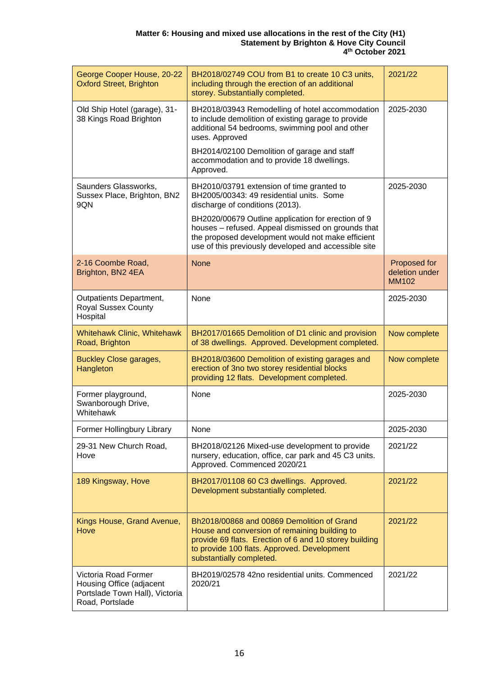| George Cooper House, 20-22<br><b>Oxford Street, Brighton</b>                                          | BH2018/02749 COU from B1 to create 10 C3 units,<br>including through the erection of an additional<br>storey. Substantially completed.                                                                                           | 2021/22                                        |
|-------------------------------------------------------------------------------------------------------|----------------------------------------------------------------------------------------------------------------------------------------------------------------------------------------------------------------------------------|------------------------------------------------|
| Old Ship Hotel (garage), 31-<br>38 Kings Road Brighton                                                | BH2018/03943 Remodelling of hotel accommodation<br>to include demolition of existing garage to provide<br>additional 54 bedrooms, swimming pool and other<br>uses. Approved                                                      | 2025-2030                                      |
|                                                                                                       | BH2014/02100 Demolition of garage and staff<br>accommodation and to provide 18 dwellings.<br>Approved.                                                                                                                           |                                                |
| Saunders Glassworks,<br>Sussex Place, Brighton, BN2<br>9QN                                            | BH2010/03791 extension of time granted to<br>BH2005/00343: 49 residential units. Some<br>discharge of conditions (2013).                                                                                                         | 2025-2030                                      |
|                                                                                                       | BH2020/00679 Outline application for erection of 9<br>houses - refused. Appeal dismissed on grounds that<br>the proposed development would not make efficient<br>use of this previously developed and accessible site            |                                                |
| 2-16 Coombe Road,<br>Brighton, BN2 4EA                                                                | <b>None</b>                                                                                                                                                                                                                      | Proposed for<br>deletion under<br><b>MM102</b> |
| Outpatients Department,<br><b>Royal Sussex County</b><br>Hospital                                     | None                                                                                                                                                                                                                             | 2025-2030                                      |
| <b>Whitehawk Clinic, Whitehawk</b><br>Road, Brighton                                                  | BH2017/01665 Demolition of D1 clinic and provision<br>of 38 dwellings. Approved. Development completed.                                                                                                                          | Now complete                                   |
| <b>Buckley Close garages,</b><br>Hangleton                                                            | BH2018/03600 Demolition of existing garages and<br>erection of 3no two storey residential blocks<br>providing 12 flats. Development completed.                                                                                   | Now complete                                   |
| Former playground,<br>Swanborough Drive,<br>Whitehawk                                                 | None                                                                                                                                                                                                                             | 2025-2030                                      |
| Former Hollingbury Library                                                                            | None                                                                                                                                                                                                                             | 2025-2030                                      |
| 29-31 New Church Road,<br>Hove                                                                        | BH2018/02126 Mixed-use development to provide<br>nursery, education, office, car park and 45 C3 units.<br>Approved. Commenced 2020/21                                                                                            | 2021/22                                        |
| 189 Kingsway, Hove                                                                                    | BH2017/01108 60 C3 dwellings. Approved.<br>Development substantially completed.                                                                                                                                                  | 2021/22                                        |
| Kings House, Grand Avenue,<br>Hove                                                                    | Bh2018/00868 and 00869 Demolition of Grand<br>House and conversion of remaining building to<br>provide 69 flats. Erection of 6 and 10 storey building<br>to provide 100 flats. Approved. Development<br>substantially completed. | 2021/22                                        |
| Victoria Road Former<br>Housing Office (adjacent<br>Portslade Town Hall), Victoria<br>Road, Portslade | BH2019/02578 42no residential units. Commenced<br>2020/21                                                                                                                                                                        | 2021/22                                        |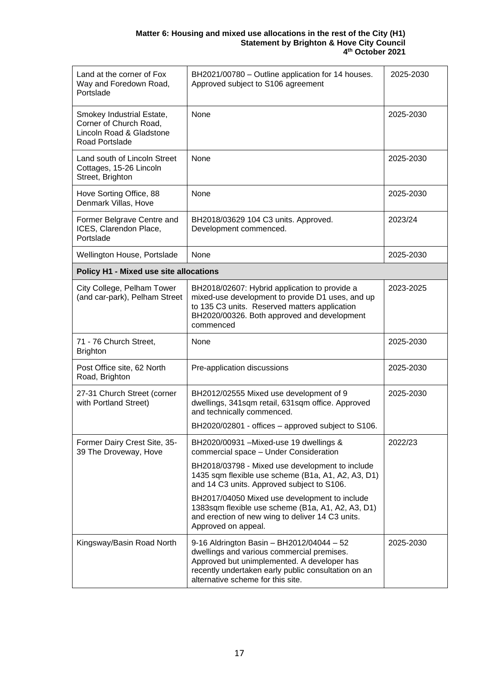#### **Matter 6: Housing and mixed use allocations in the rest of the City (H1) Statement by Brighton & Hove City Council 4 th October 2021**

| Land at the corner of Fox<br>Way and Foredown Road,<br>Portslade                                  | BH2021/00780 - Outline application for 14 houses.<br>Approved subject to S106 agreement                                                                                                                                            | 2025-2030 |
|---------------------------------------------------------------------------------------------------|------------------------------------------------------------------------------------------------------------------------------------------------------------------------------------------------------------------------------------|-----------|
| Smokey Industrial Estate,<br>Corner of Church Road,<br>Lincoln Road & Gladstone<br>Road Portslade | None                                                                                                                                                                                                                               | 2025-2030 |
| Land south of Lincoln Street<br>Cottages, 15-26 Lincoln<br>Street, Brighton                       | None                                                                                                                                                                                                                               | 2025-2030 |
| Hove Sorting Office, 88<br>Denmark Villas, Hove                                                   | None                                                                                                                                                                                                                               | 2025-2030 |
| Former Belgrave Centre and<br>ICES, Clarendon Place,<br>Portslade                                 | BH2018/03629 104 C3 units. Approved.<br>Development commenced.                                                                                                                                                                     | 2023/24   |
| Wellington House, Portslade                                                                       | None                                                                                                                                                                                                                               | 2025-2030 |
| <b>Policy H1 - Mixed use site allocations</b>                                                     |                                                                                                                                                                                                                                    |           |
| City College, Pelham Tower<br>(and car-park), Pelham Street                                       | BH2018/02607: Hybrid application to provide a<br>mixed-use development to provide D1 uses, and up<br>to 135 C3 units. Reserved matters application<br>BH2020/00326. Both approved and development<br>commenced                     | 2023-2025 |
| 71 - 76 Church Street,<br><b>Brighton</b>                                                         | None                                                                                                                                                                                                                               | 2025-2030 |
| Post Office site, 62 North<br>Road, Brighton                                                      | Pre-application discussions                                                                                                                                                                                                        | 2025-2030 |
| 27-31 Church Street (corner<br>with Portland Street)                                              | BH2012/02555 Mixed use development of 9<br>dwellings, 341sqm retail, 631sqm office. Approved<br>and technically commenced.<br>BH2020/02801 - offices - approved subject to S106.                                                   | 2025-2030 |
|                                                                                                   |                                                                                                                                                                                                                                    | 2022/23   |
| Former Dairy Crest Site, 35-<br>39 The Droveway, Hove                                             | BH2020/00931 - Mixed-use 19 dwellings &<br>commercial space - Under Consideration                                                                                                                                                  |           |
|                                                                                                   | BH2018/03798 - Mixed use development to include<br>1435 sqm flexible use scheme (B1a, A1, A2, A3, D1)<br>and 14 C3 units. Approved subject to S106.                                                                                |           |
|                                                                                                   | BH2017/04050 Mixed use development to include<br>1383sqm flexible use scheme (B1a, A1, A2, A3, D1)<br>and erection of new wing to deliver 14 C3 units.<br>Approved on appeal.                                                      |           |
| Kingsway/Basin Road North                                                                         | 9-16 Aldrington Basin - BH2012/04044 - 52<br>dwellings and various commercial premises.<br>Approved but unimplemented. A developer has<br>recently undertaken early public consultation on an<br>alternative scheme for this site. | 2025-2030 |